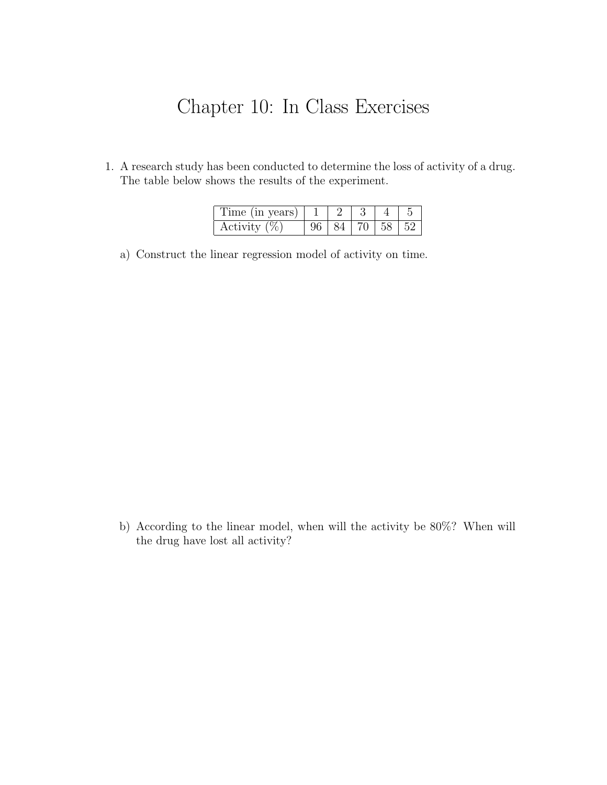## Chapter 10: In Class Exercises

1. A research study has been conducted to determine the loss of activity of a drug. The table below shows the results of the experiment.

| Time (in years) |                   |  |  |
|-----------------|-------------------|--|--|
| Activity $(\%)$ | 84   70   58   52 |  |  |

a) Construct the linear regression model of activity on time.

b) According to the linear model, when will the activity be 80%? When will the drug have lost all activity?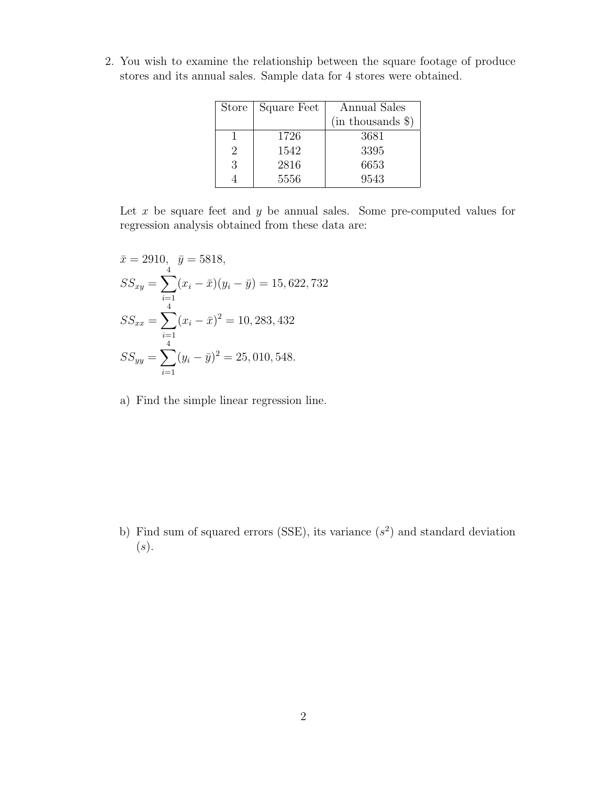| <b>Store</b>                | Square Feet | Annual Sales      |  |  |
|-----------------------------|-------------|-------------------|--|--|
|                             |             | (in thousands \$) |  |  |
|                             | 1726        | 3681              |  |  |
| $\mathcal{D}_{\mathcal{L}}$ | 1542        | 3395              |  |  |
| 3                           | 2816        | 6653              |  |  |
|                             | 5556        | 9543              |  |  |

2. You wish to examine the relationship between the square footage of produce stores and its annual sales. Sample data for 4 stores were obtained.

Let  $x$  be square feet and  $y$  be annual sales. Some pre-computed values for regression analysis obtained from these data are:

$$
\bar{x} = 2910, \quad \bar{y} = 5818,
$$
  
\n
$$
SS_{xy} = \sum_{i=1}^{4} (x_i - \bar{x})(y_i - \bar{y}) = 15,622,732
$$
  
\n
$$
SS_{xx} = \sum_{i=1}^{4} (x_i - \bar{x})^2 = 10,283,432
$$
  
\n
$$
SS_{yy} = \sum_{i=1}^{4} (y_i - \bar{y})^2 = 25,010,548.
$$

a) Find the simple linear regression line.

b) Find sum of squared errors (SSE), its variance  $(s^2)$  and standard deviation  $(s).$